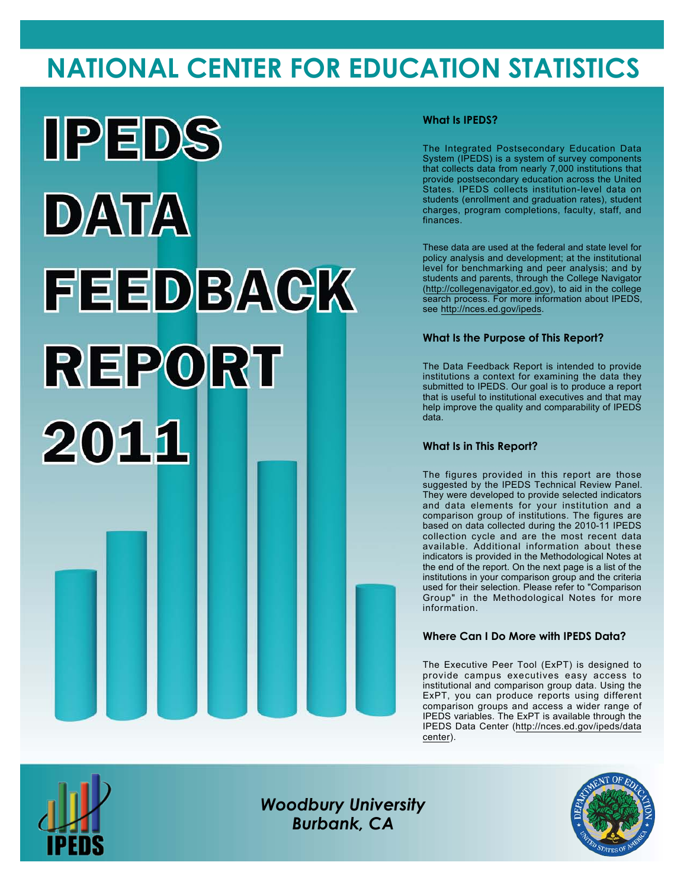# **NATIONAL CENTER FOR EDUCATION STATISTICS**



# **What Is IPEDS?**

The Integrated Postsecondary Education Data System (IPEDS) is a system of survey components that collects data from nearly 7,000 institutions that provide postsecondary education across the United States. IPEDS collects institution-level data on students (enrollment and graduation rates), student charges, program completions, faculty, staff, and finances.

These data are used at the federal and state level for policy analysis and development; at the institutional level for benchmarking and peer analysis; and by students and parents, through the College Navigator (<http://collegenavigator.ed.gov>), to aid in the college search process. For more information about IPEDS, see [http://nces.ed.gov/ipeds.](http://nces.ed.gov/ipeds)

# **What Is the Purpose of This Report?**

The Data Feedback Report is intended to provide institutions a context for examining the data they submitted to IPEDS. Our goal is to produce a report that is useful to institutional executives and that may help improve the quality and comparability of IPEDS data.

### **What Is in This Report?**

The figures provided in this report are those suggested by the IPEDS Technical Review Panel. They were developed to provide selected indicators and data elements for your institution and a comparison group of institutions. The figures are based on data collected during the 2010-11 IPEDS collection cycle and are the most recent data available. Additional information about these indicators is provided in the Methodological Notes at the end of the report. On the next page is a list of the institutions in your comparison group and the criteria used for their selection. Please refer to "Comparison Group" in the Methodological Notes for more information.

# **Where Can I Do More with IPEDS Data?**

The Executive Peer Tool (ExPT) is designed to provide campus executives easy access to institutional and comparison group data. Using the ExPT, you can produce reports using different comparison groups and access a wider range of IPEDS variables. The ExPT is available through the IPEDS Data Center ([http://nces.ed.gov/ipeds/data](http://nces.ed.gov/ipeds/datacenter) [center](http://nces.ed.gov/ipeds/datacenter)).



Image description. Cover Image End of image description.

*Woodbury University Burbank, CA*

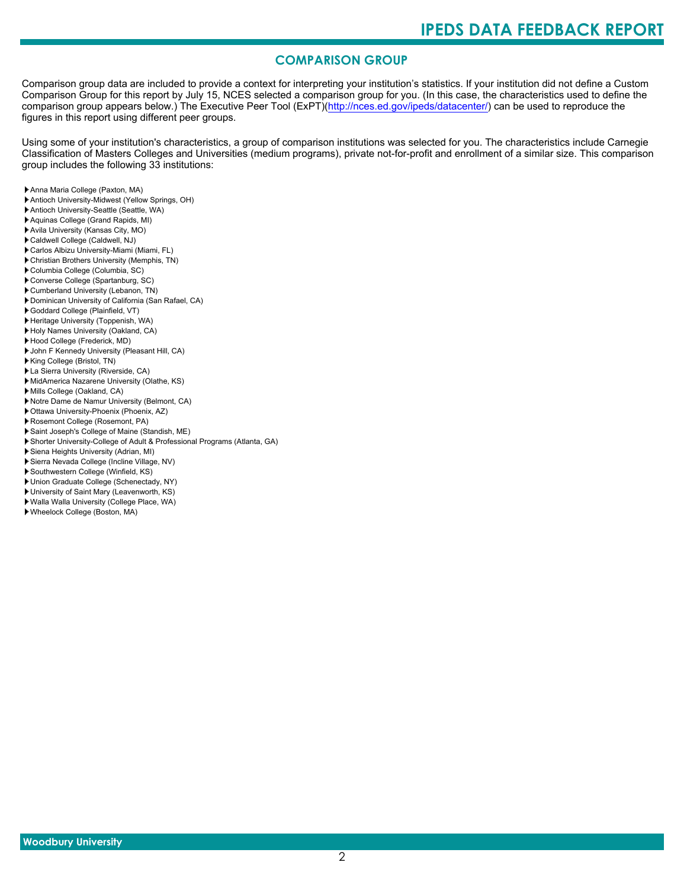# **COMPARISON GROUP**

Comparison group data are included to provide a context for interpreting your institution's statistics. If your institution did not define a Custom Comparison Group for this report by July 15, NCES selected a comparison group for you. (In this case, the characteristics used to define the comparison group appears below.) The Executive Peer Tool (ExPT)[\(http://nces.ed.gov/ipeds/datacenter/\)](http://nces.ed.gov/ipeds/datacenter/) can be used to reproduce the figures in this report using different peer groups.

Using some of your institution's characteristics, a group of comparison institutions was selected for you. The characteristics include Carnegie Classification of Masters Colleges and Universities (medium programs), private not-for-profit and enrollment of a similar size. This comparison group includes the following 33 institutions:

- Anna Maria College (Paxton, MA)
- Antioch University-Midwest (Yellow Springs, OH)
- Antioch University-Seattle (Seattle, WA)
- Aquinas College (Grand Rapids, MI)
- Avila University (Kansas City, MO)
- Caldwell College (Caldwell, NJ)
- Carlos Albizu University-Miami (Miami, FL)
- Christian Brothers University (Memphis, TN)
- Columbia College (Columbia, SC)
- Converse College (Spartanburg, SC)
- Cumberland University (Lebanon, TN)
- Dominican University of California (San Rafael, CA)
- Goddard College (Plainfield, VT)
- Heritage University (Toppenish, WA)
- Holy Names University (Oakland, CA)
- Hood College (Frederick, MD)
- John F Kennedy University (Pleasant Hill, CA)
- King College (Bristol, TN)
- La Sierra University (Riverside, CA)
- MidAmerica Nazarene University (Olathe, KS)
- Mills College (Oakland, CA)
- Notre Dame de Namur University (Belmont, CA)
- Ottawa University-Phoenix (Phoenix, AZ)
- Rosemont College (Rosemont, PA)
- Saint Joseph's College of Maine (Standish, ME)
- Shorter University-College of Adult & Professional Programs (Atlanta, GA)
- Siena Heights University (Adrian, MI)
- Sierra Nevada College (Incline Village, NV)
- Southwestern College (Winfield, KS)
- Union Graduate College (Schenectady, NY)
- University of Saint Mary (Leavenworth, KS)
- Walla Walla University (College Place, WA)
- Wheelock College (Boston, MA)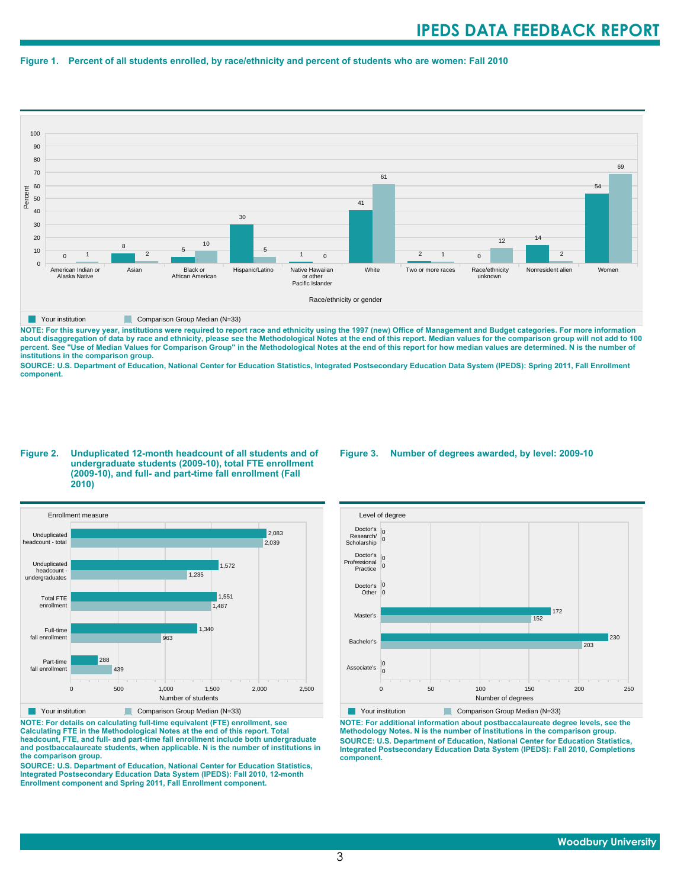#### **Figure 1. Percent of all students enrolled, by race/ethnicity and percent of students who are women: Fall 2010**



**NOTE: For this survey year, institutions were required to report race and ethnicity using the 1997 (new) Office of Management and Budget categories. For more information** about disaggregation of data by race and ethnicity, please see the Methodological Notes at the end of this report. Median values for the comparison group will not add to 100<br>percent. See "Use of Median Values for Compariso **institutions in the comparison group.**

**SOURCE: U.S. Department of Education, National Center for Education Statistics, Integrated Postsecondary Education Data System (IPEDS): Spring 2011, Fall Enrollment component.**

#### **Figure 2. Unduplicated 12-month headcount of all students and of undergraduate students (2009-10), total FTE enrollment (2009-10), and full- and part-time fall enrollment (Fall 2010)**



**NOTE: For details on calculating full-time equivalent (FTE) enrollment, see Calculating FTE in the Methodological Notes at the end of this report. Total headcount, FTE, and full- and part-time fall enrollment include both undergraduate and postbaccalaureate students, when applicable. N is the number of institutions in the comparison group.**

**SOURCE: U.S. Department of Education, National Center for Education Statistics, Integrated Postsecondary Education Data System (IPEDS): Fall 2010, 12-month Enrollment component and Spring 2011, Fall Enrollment component.**

#### **Figure 3. Number of degrees awarded, by level: 2009-10**



**NOTE: For additional information about postbaccalaureate degree levels, see the Methodology Notes. N is the number of institutions in the comparison group. SOURCE: U.S. Department of Education, National Center for Education Statistics, Integrated Postsecondary Education Data System (IPEDS): Fall 2010, Completions component.**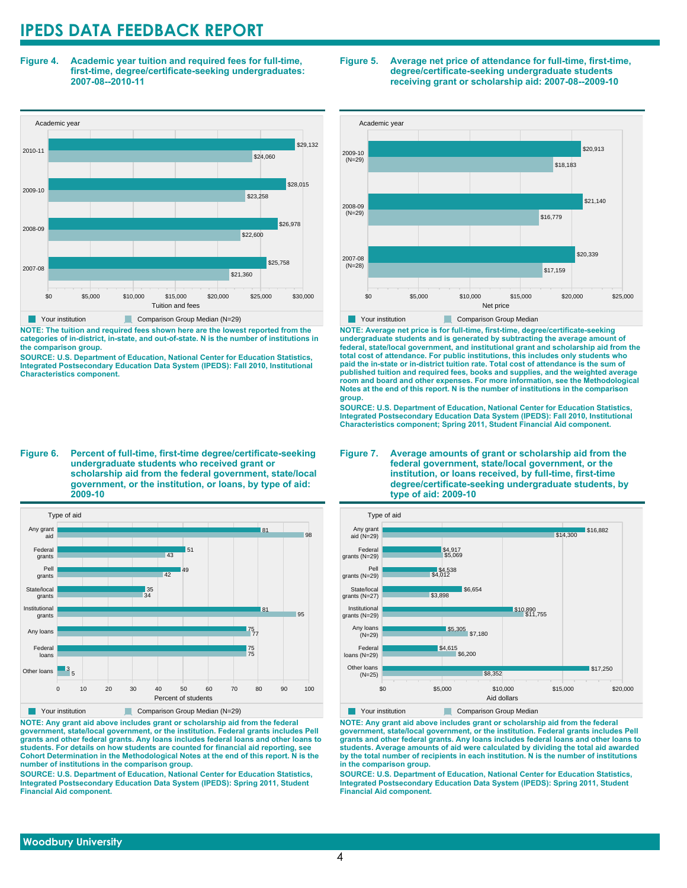**Figure 4. Academic year tuition and required fees for full-time, first-time, degree/certificate-seeking undergraduates: 2007-08--2010-11**



**NOTE: The tuition and required fees shown here are the lowest reported from the categories of in-district, in-state, and out-of-state. N is the number of institutions in the comparison group.**

**SOURCE: U.S. Department of Education, National Center for Education Statistics, Integrated Postsecondary Education Data System (IPEDS): Fall 2010, Institutional Characteristics component.**

**Figure 6. Percent of full-time, first-time degree/certificate-seeking undergraduate students who received grant or scholarship aid from the federal government, state/local government, or the institution, or loans, by type of aid: 2009-10**



**NOTE: Any grant aid above includes grant or scholarship aid from the federal government, state/local government, or the institution. Federal grants includes Pell grants and other federal grants. Any loans includes federal loans and other loans to students. For details on how students are counted for financial aid reporting, see Cohort Determination in the Methodological Notes at the end of this report. N is the number of institutions in the comparison group.**

**SOURCE: U.S. Department of Education, National Center for Education Statistics, Integrated Postsecondary Education Data System (IPEDS): Spring 2011, Student Financial Aid component.**





**NOTE: Average net price is for full-time, first-time, degree/certificate-seeking undergraduate students and is generated by subtracting the average amount of federal, state/local government, and institutional grant and scholarship aid from the total cost of attendance. For public institutions, this includes only students who paid the in-state or in-district tuition rate. Total cost of attendance is the sum of published tuition and required fees, books and supplies, and the weighted average room and board and other expenses. For more information, see the Methodological Notes at the end of this report. N is the number of institutions in the comparison group.**

**SOURCE: U.S. Department of Education, National Center for Education Statistics, Integrated Postsecondary Education Data System (IPEDS): Fall 2010, Institutional Characteristics component; Spring 2011, Student Financial Aid component.**

#### **Figure 7. Average amounts of grant or scholarship aid from the federal government, state/local government, or the institution, or loans received, by full-time, first-time degree/certificate-seeking undergraduate students, by type of aid: 2009-10**



**Your institution Comparison Group Median** 

**NOTE: Any grant aid above includes grant or scholarship aid from the federal government, state/local government, or the institution. Federal grants includes Pell grants and other federal grants. Any loans includes federal loans and other loans to students. Average amounts of aid were calculated by dividing the total aid awarded by the total number of recipients in each institution. N is the number of institutions in the comparison group.**

**SOURCE: U.S. Department of Education, National Center for Education Statistics, Integrated Postsecondary Education Data System (IPEDS): Spring 2011, Student Financial Aid component.**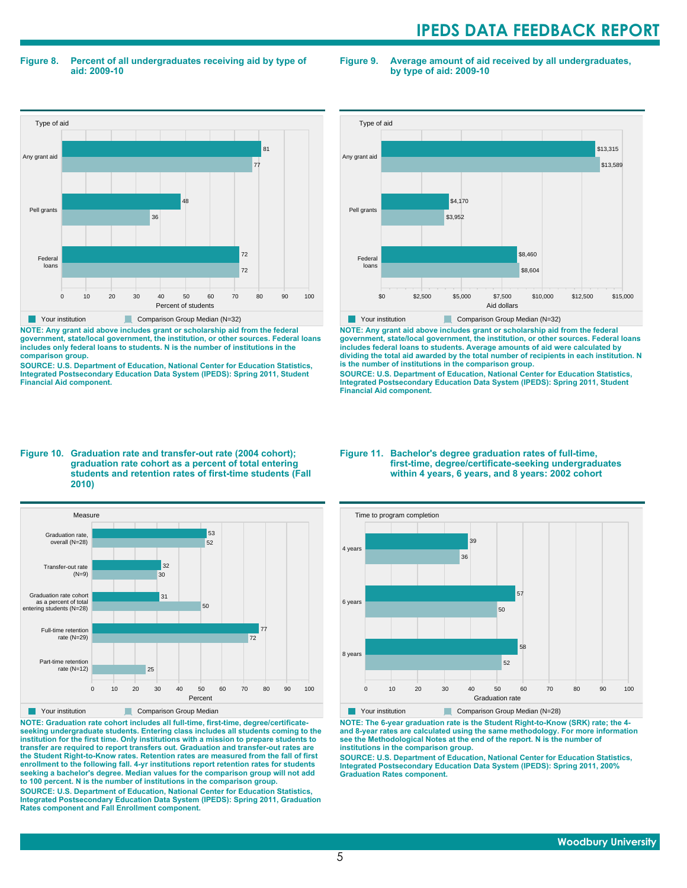**Figure 8. Percent of all undergraduates receiving aid by type of aid: 2009-10**

**Figure 9. Average amount of aid received by all undergraduates, by type of aid: 2009-10**



**NOTE: Any grant aid above includes grant or scholarship aid from the federal government, state/local government, the institution, or other sources. Federal loans includes only federal loans to students. N is the number of institutions in the comparison group.**

**SOURCE: U.S. Department of Education, National Center for Education Statistics, Integrated Postsecondary Education Data System (IPEDS): Spring 2011, Student Financial Aid component.**



**NOTE: Any grant aid above includes grant or scholarship aid from the federal government, state/local government, the institution, or other sources. Federal loans includes federal loans to students. Average amounts of aid were calculated by dividing the total aid awarded by the total number of recipients in each institution. N is the number of institutions in the comparison group.**

**SOURCE: U.S. Department of Education, National Center for Education Statistics, Integrated Postsecondary Education Data System (IPEDS): Spring 2011, Student Financial Aid component.**

#### **Figure 10. Graduation rate and transfer-out rate (2004 cohort); graduation rate cohort as a percent of total entering students and retention rates of first-time students (Fall 2010)**



**NOTE: Graduation rate cohort includes all full-time, first-time, degree/certificateseeking undergraduate students. Entering class includes all students coming to the institution for the first time. Only institutions with a mission to prepare students to transfer are required to report transfers out. Graduation and transfer-out rates are the Student Right-to-Know rates. Retention rates are measured from the fall of first enrollment to the following fall. 4-yr institutions report retention rates for students seeking a bachelor's degree. Median values for the comparison group will not add to 100 percent. N is the number of institutions in the comparison group.**

**SOURCE: U.S. Department of Education, National Center for Education Statistics, Integrated Postsecondary Education Data System (IPEDS): Spring 2011, Graduation Rates component and Fall Enrollment component.**

#### **Figure 11. Bachelor's degree graduation rates of full-time, first-time, degree/certificate-seeking undergraduates within 4 years, 6 years, and 8 years: 2002 cohort**



Your institution Comparison Group Median (N=28)

**NOTE: The 6-year graduation rate is the Student Right-to-Know (SRK) rate; the 4 and 8-year rates are calculated using the same methodology. For more information see the Methodological Notes at the end of the report. N is the number of institutions in the comparison group.**

**SOURCE: U.S. Department of Education, National Center for Education Statistics, Integrated Postsecondary Education Data System (IPEDS): Spring 2011, 200% Graduation Rates component.**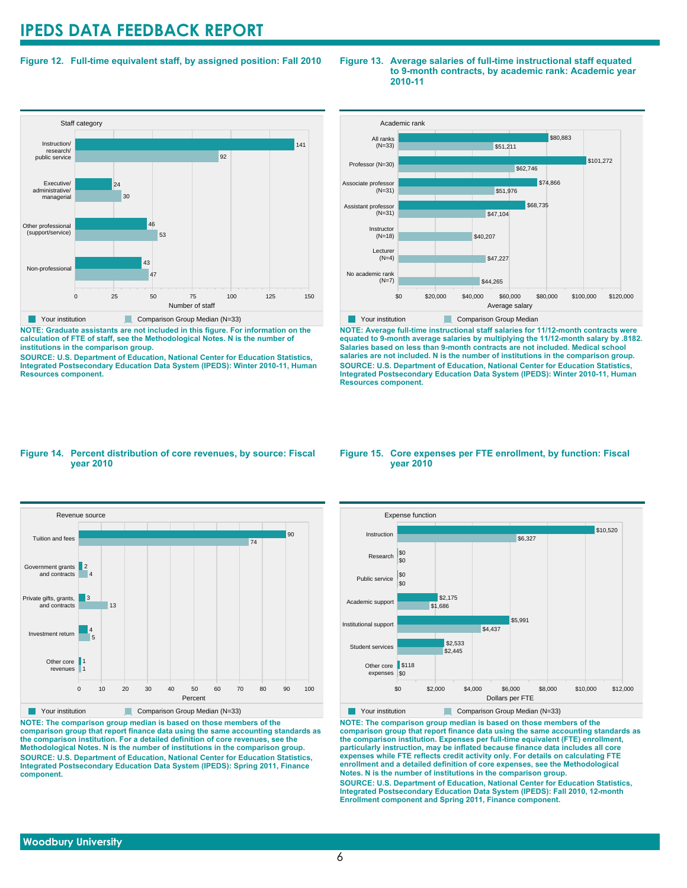### **Figure 12. Full-time equivalent staff, by assigned position: Fall 2010**

#### **Staff category** 0 25 50 75 100 125 150 Number of staff Non-professional Other professional (support/service) Executive/ administrative/ managerial Instruction/ research/ public service  $47$ .<br>13 53 46 30 24 92 141 Your institution Comparison Group Median (N=33)

**NOTE: Graduate assistants are not included in this figure. For information on the calculation of FTE of staff, see the Methodological Notes. N is the number of institutions in the comparison group.**

**SOURCE: U.S. Department of Education, National Center for Education Statistics, Integrated Postsecondary Education Data System (IPEDS): Winter 2010-11, Human Resources component.**

#### **Figure 13. Average salaries of full-time instructional staff equated to 9-month contracts, by academic rank: Academic year 2010-11**



**NOTE: Average full-time instructional staff salaries for 11/12-month contracts were equated to 9-month average salaries by multiplying the 11/12-month salary by .8182. Salaries based on less than 9-month contracts are not included. Medical school salaries are not included. N is the number of institutions in the comparison group. SOURCE: U.S. Department of Education, National Center for Education Statistics, Integrated Postsecondary Education Data System (IPEDS): Winter 2010-11, Human Resources component.**

#### **Figure 14. Percent distribution of core revenues, by source: Fiscal year 2010**



**NOTE: The comparison group median is based on those members of the comparison group that report finance data using the same accounting standards as the comparison institution. For a detailed definition of core revenues, see the Methodological Notes. N is the number of institutions in the comparison group. SOURCE: U.S. Department of Education, National Center for Education Statistics, Integrated Postsecondary Education Data System (IPEDS): Spring 2011, Finance component.**

#### **Figure 15. Core expenses per FTE enrollment, by function: Fiscal year 2010**



**NOTE: The comparison group median is based on those members of the comparison group that report finance data using the same accounting standards as the comparison institution. Expenses per full-time equivalent (FTE) enrollment, particularly instruction, may be inflated because finance data includes all core expenses while FTE reflects credit activity only. For details on calculating FTE enrollment and a detailed definition of core expenses, see the Methodological Notes. N is the number of institutions in the comparison group. SOURCE: U.S. Department of Education, National Center for Education Statistics, Integrated Postsecondary Education Data System (IPEDS): Fall 2010, 12-month**

**Enrollment component and Spring 2011, Finance component.**

 **Woodbury University**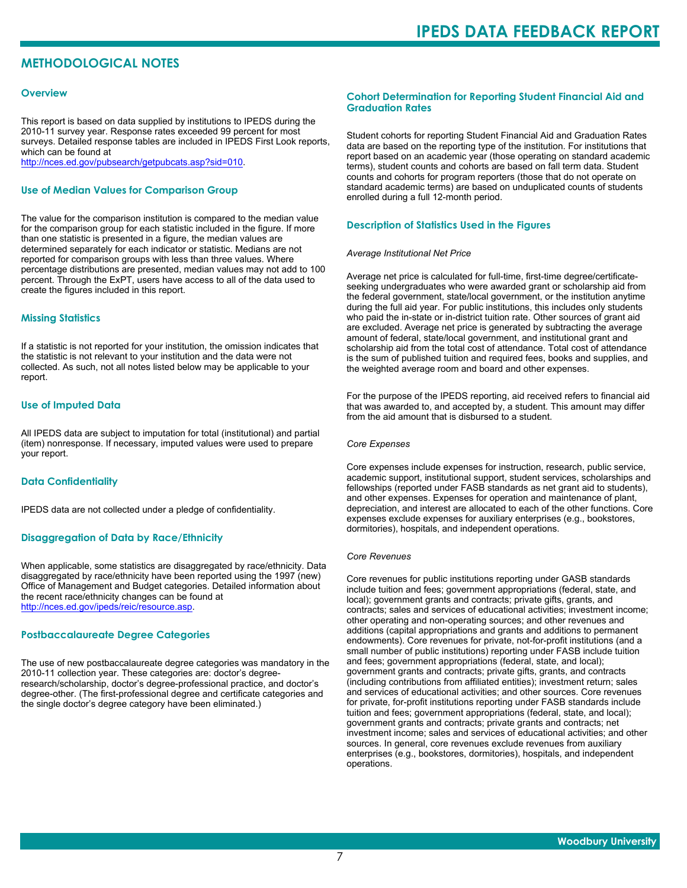# **METHODOLOGICAL NOTES**

#### **Overview**

This report is based on data supplied by institutions to IPEDS during the 2010-11 survey year. Response rates exceeded 99 percent for most surveys. Detailed response tables are included in IPEDS First Look reports, which can be found at [http://nces.ed.gov/pubsearch/getpubcats.asp?sid=010.](http://nces.ed.gov/pubsearch/getpubcats.asp?sid=010)

#### **Use of Median Values for Comparison Group**

The value for the comparison institution is compared to the median value for the comparison group for each statistic included in the figure. If more than one statistic is presented in a figure, the median values are determined separately for each indicator or statistic. Medians are not reported for comparison groups with less than three values. Where percentage distributions are presented, median values may not add to 100 percent. Through the ExPT, users have access to all of the data used to create the figures included in this report.

#### **Missing Statistics**

If a statistic is not reported for your institution, the omission indicates that the statistic is not relevant to your institution and the data were not collected. As such, not all notes listed below may be applicable to your report.

#### **Use of Imputed Data**

All IPEDS data are subject to imputation for total (institutional) and partial (item) nonresponse. If necessary, imputed values were used to prepare your report.

#### **Data Confidentiality**

IPEDS data are not collected under a pledge of confidentiality.

#### **Disaggregation of Data by Race/Ethnicity**

When applicable, some statistics are disaggregated by race/ethnicity. Data disaggregated by race/ethnicity have been reported using the 1997 (new) Office of Management and Budget categories. Detailed information about the recent race/ethnicity changes can be found at <http://nces.ed.gov/ipeds/reic/resource.asp>.

#### **Postbaccalaureate Degree Categories**

The use of new postbaccalaureate degree categories was mandatory in the 2010-11 collection year. These categories are: doctor's degreeresearch/scholarship, doctor's degree-professional practice, and doctor's degree-other. (The first-professional degree and certificate categories and the single doctor's degree category have been eliminated.)

#### **Cohort Determination for Reporting Student Financial Aid and Graduation Rates**

Student cohorts for reporting Student Financial Aid and Graduation Rates data are based on the reporting type of the institution. For institutions that report based on an academic year (those operating on standard academic terms), student counts and cohorts are based on fall term data. Student counts and cohorts for program reporters (those that do not operate on standard academic terms) are based on unduplicated counts of students enrolled during a full 12-month period.

#### **Description of Statistics Used in the Figures**

#### *Average Institutional Net Price*

Average net price is calculated for full-time, first-time degree/certificateseeking undergraduates who were awarded grant or scholarship aid from the federal government, state/local government, or the institution anytime during the full aid year. For public institutions, this includes only students who paid the in-state or in-district tuition rate. Other sources of grant aid are excluded. Average net price is generated by subtracting the average amount of federal, state/local government, and institutional grant and scholarship aid from the total cost of attendance. Total cost of attendance is the sum of published tuition and required fees, books and supplies, and the weighted average room and board and other expenses.

For the purpose of the IPEDS reporting, aid received refers to financial aid that was awarded to, and accepted by, a student. This amount may differ from the aid amount that is disbursed to a student.

#### *Core Expenses*

Core expenses include expenses for instruction, research, public service, academic support, institutional support, student services, scholarships and fellowships (reported under FASB standards as net grant aid to students), and other expenses. Expenses for operation and maintenance of plant, depreciation, and interest are allocated to each of the other functions. Core expenses exclude expenses for auxiliary enterprises (e.g., bookstores, dormitories), hospitals, and independent operations.

#### *Core Revenues*

Core revenues for public institutions reporting under GASB standards include tuition and fees; government appropriations (federal, state, and local); government grants and contracts; private gifts, grants, and contracts; sales and services of educational activities; investment income; other operating and non-operating sources; and other revenues and additions (capital appropriations and grants and additions to permanent endowments). Core revenues for private, not-for-profit institutions (and a small number of public institutions) reporting under FASB include tuition and fees; government appropriations (federal, state, and local); government grants and contracts; private gifts, grants, and contracts (including contributions from affiliated entities); investment return; sales and services of educational activities; and other sources. Core revenues for private, for-profit institutions reporting under FASB standards include tuition and fees; government appropriations (federal, state, and local); government grants and contracts; private grants and contracts; net investment income; sales and services of educational activities; and other sources. In general, core revenues exclude revenues from auxiliary enterprises (e.g., bookstores, dormitories), hospitals, and independent operations.